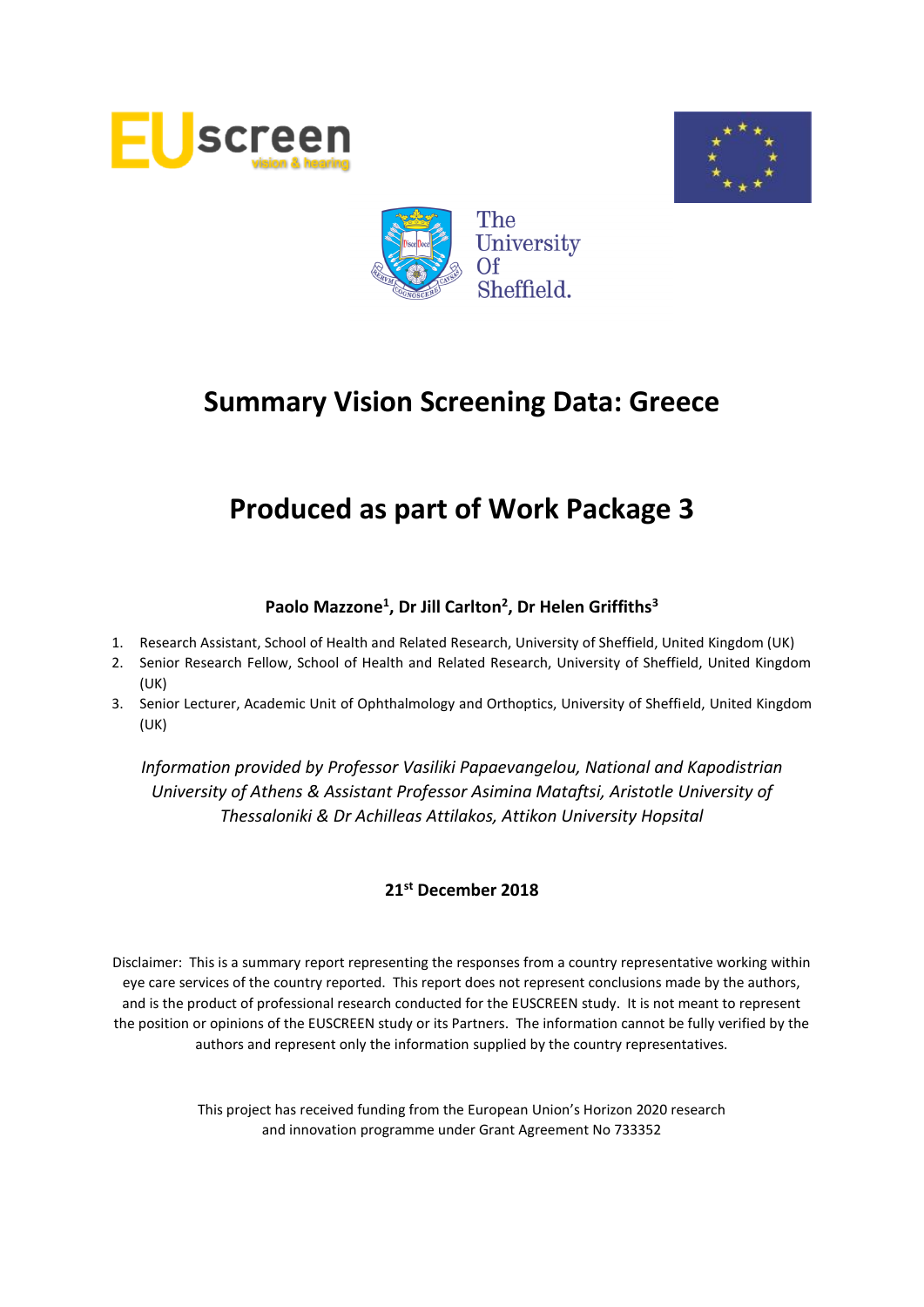





# **Produced as part of Work Package 3**

# **Paolo Mazzone<sup>1</sup> , Dr Jill Carlton<sup>2</sup> , Dr Helen Griffiths<sup>3</sup>**

- 1. Research Assistant, School of Health and Related Research, University of Sheffield, United Kingdom (UK)
- 2. Senior Research Fellow, School of Health and Related Research, University of Sheffield, United Kingdom (UK)
- 3. Senior Lecturer, Academic Unit of Ophthalmology and Orthoptics, University of Sheffield, United Kingdom (UK)

*Information provided by Professor Vasiliki Papaevangelou, National and Kapodistrian University of Athens & Assistant Professor Asimina Mataftsi, Aristotle University of Thessaloniki & Dr Achilleas Attilakos, Attikon University Hopsital*

# **21st December 2018**

Disclaimer: This is a summary report representing the responses from a country representative working within eye care services of the country reported. This report does not represent conclusions made by the authors, and is the product of professional research conducted for the EUSCREEN study. It is not meant to represent the position or opinions of the EUSCREEN study or its Partners. The information cannot be fully verified by the authors and represent only the information supplied by the country representatives.

> This project has received funding from the European Union's Horizon 2020 research and innovation programme under Grant Agreement No 733352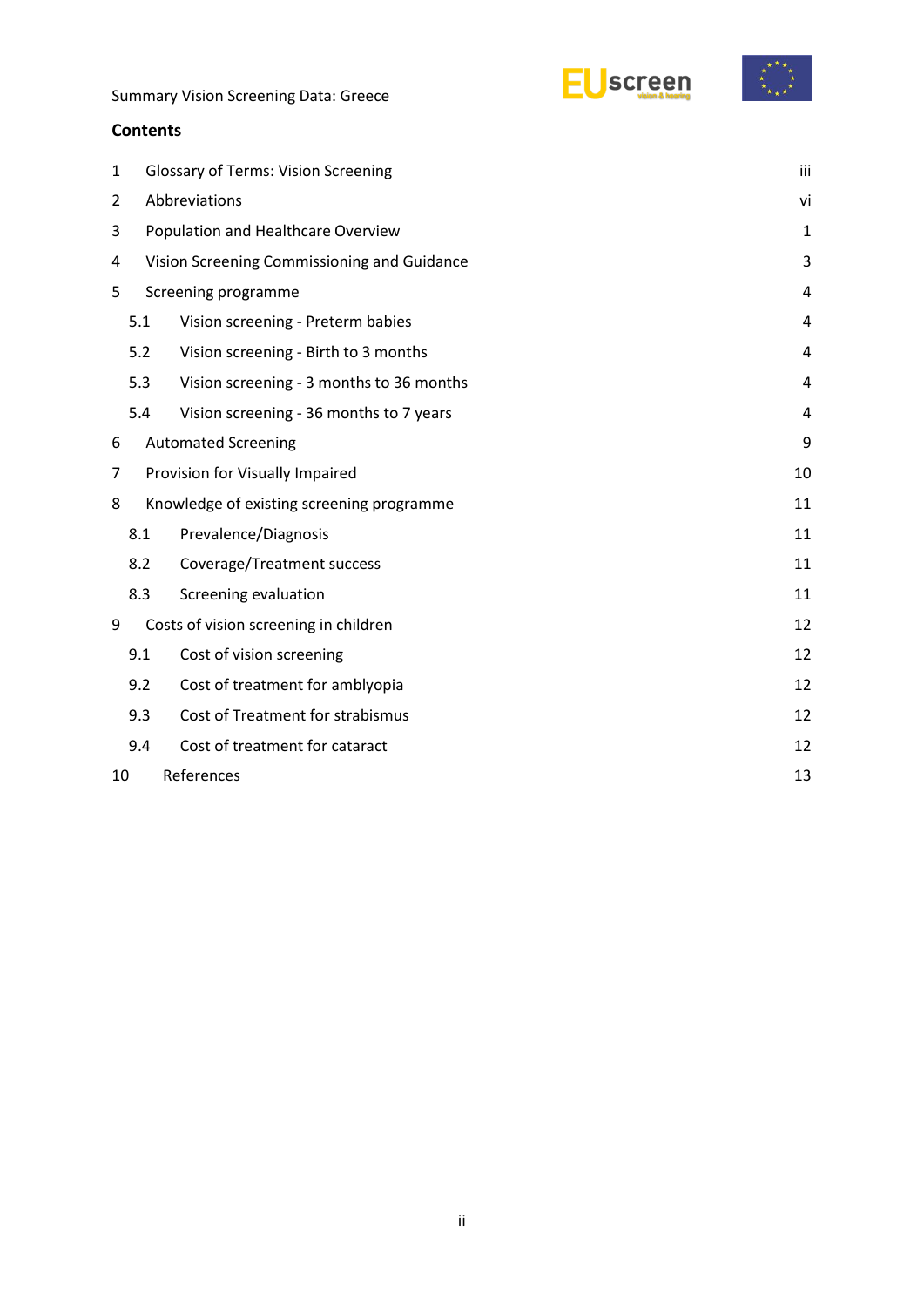### **Contents**

| $\mathbf{1}$             |                                             | <b>Glossary of Terms: Vision Screening</b><br>iii |    |  |  |  |
|--------------------------|---------------------------------------------|---------------------------------------------------|----|--|--|--|
| 2                        |                                             | Abbreviations<br>vi                               |    |  |  |  |
| 3                        | Population and Healthcare Overview          |                                                   |    |  |  |  |
| 4                        | Vision Screening Commissioning and Guidance |                                                   |    |  |  |  |
| 5<br>Screening programme |                                             |                                                   |    |  |  |  |
|                          | 5.1                                         | Vision screening - Preterm babies                 | 4  |  |  |  |
|                          | 5.2                                         | Vision screening - Birth to 3 months              | 4  |  |  |  |
|                          | 5.3                                         | Vision screening - 3 months to 36 months          | 4  |  |  |  |
|                          | 5.4                                         | Vision screening - 36 months to 7 years           | 4  |  |  |  |
| 6                        |                                             | <b>Automated Screening</b>                        | 9  |  |  |  |
| 7                        |                                             | Provision for Visually Impaired                   | 10 |  |  |  |
| 8                        |                                             | Knowledge of existing screening programme         | 11 |  |  |  |
|                          | 8.1                                         | Prevalence/Diagnosis                              | 11 |  |  |  |
|                          | 8.2                                         | Coverage/Treatment success                        | 11 |  |  |  |
|                          | 8.3                                         | Screening evaluation                              | 11 |  |  |  |
| 9                        |                                             | Costs of vision screening in children             | 12 |  |  |  |
|                          | 9.1                                         | Cost of vision screening                          | 12 |  |  |  |
|                          | 9.2                                         | Cost of treatment for amblyopia                   | 12 |  |  |  |
|                          | 9.3                                         | Cost of Treatment for strabismus                  | 12 |  |  |  |
|                          | 9.4                                         | Cost of treatment for cataract                    | 12 |  |  |  |
| 10                       |                                             | References                                        | 13 |  |  |  |

EUscreen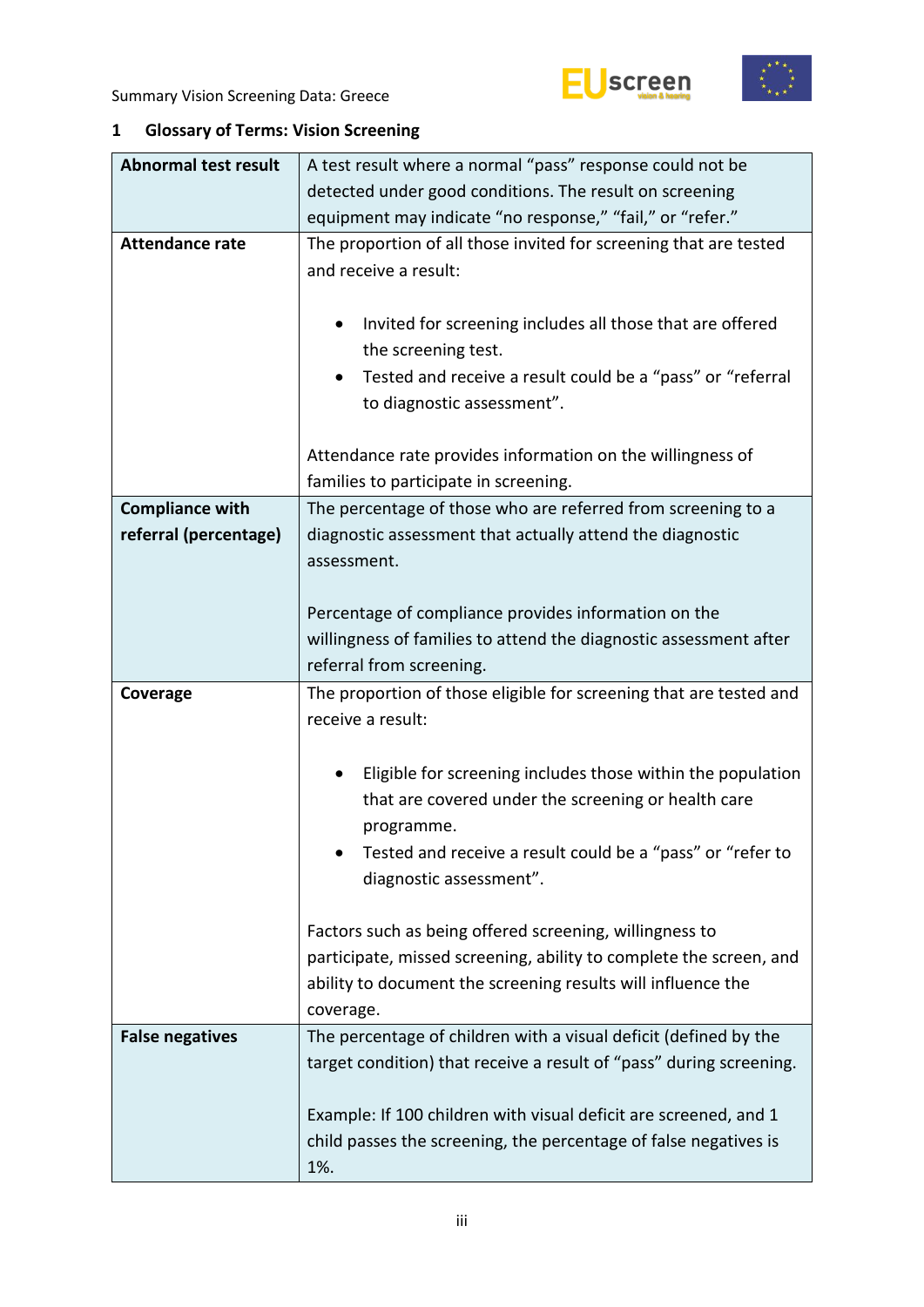



# <span id="page-2-0"></span>**1 Glossary of Terms: Vision Screening**

| <b>Abnormal test result</b> | A test result where a normal "pass" response could not be                                                                            |  |  |  |  |  |
|-----------------------------|--------------------------------------------------------------------------------------------------------------------------------------|--|--|--|--|--|
|                             | detected under good conditions. The result on screening                                                                              |  |  |  |  |  |
|                             | equipment may indicate "no response," "fail," or "refer."                                                                            |  |  |  |  |  |
| <b>Attendance rate</b>      | The proportion of all those invited for screening that are tested                                                                    |  |  |  |  |  |
|                             | and receive a result:                                                                                                                |  |  |  |  |  |
|                             |                                                                                                                                      |  |  |  |  |  |
|                             | Invited for screening includes all those that are offered<br>٠                                                                       |  |  |  |  |  |
|                             | the screening test.                                                                                                                  |  |  |  |  |  |
|                             | Tested and receive a result could be a "pass" or "referral<br>٠                                                                      |  |  |  |  |  |
|                             | to diagnostic assessment".                                                                                                           |  |  |  |  |  |
|                             |                                                                                                                                      |  |  |  |  |  |
|                             | Attendance rate provides information on the willingness of                                                                           |  |  |  |  |  |
|                             | families to participate in screening.                                                                                                |  |  |  |  |  |
| <b>Compliance with</b>      | The percentage of those who are referred from screening to a                                                                         |  |  |  |  |  |
| referral (percentage)       | diagnostic assessment that actually attend the diagnostic                                                                            |  |  |  |  |  |
|                             | assessment.                                                                                                                          |  |  |  |  |  |
|                             |                                                                                                                                      |  |  |  |  |  |
|                             | Percentage of compliance provides information on the                                                                                 |  |  |  |  |  |
|                             | willingness of families to attend the diagnostic assessment after                                                                    |  |  |  |  |  |
|                             | referral from screening.                                                                                                             |  |  |  |  |  |
|                             |                                                                                                                                      |  |  |  |  |  |
| Coverage                    | The proportion of those eligible for screening that are tested and                                                                   |  |  |  |  |  |
|                             | receive a result:                                                                                                                    |  |  |  |  |  |
|                             |                                                                                                                                      |  |  |  |  |  |
|                             | Eligible for screening includes those within the population<br>٠                                                                     |  |  |  |  |  |
|                             | that are covered under the screening or health care                                                                                  |  |  |  |  |  |
|                             | programme.                                                                                                                           |  |  |  |  |  |
|                             | Tested and receive a result could be a "pass" or "refer to                                                                           |  |  |  |  |  |
|                             | diagnostic assessment".                                                                                                              |  |  |  |  |  |
|                             |                                                                                                                                      |  |  |  |  |  |
|                             | Factors such as being offered screening, willingness to                                                                              |  |  |  |  |  |
|                             | participate, missed screening, ability to complete the screen, and                                                                   |  |  |  |  |  |
|                             | ability to document the screening results will influence the                                                                         |  |  |  |  |  |
|                             | coverage.                                                                                                                            |  |  |  |  |  |
| <b>False negatives</b>      | The percentage of children with a visual deficit (defined by the                                                                     |  |  |  |  |  |
|                             | target condition) that receive a result of "pass" during screening.                                                                  |  |  |  |  |  |
|                             |                                                                                                                                      |  |  |  |  |  |
|                             | Example: If 100 children with visual deficit are screened, and 1<br>child passes the screening, the percentage of false negatives is |  |  |  |  |  |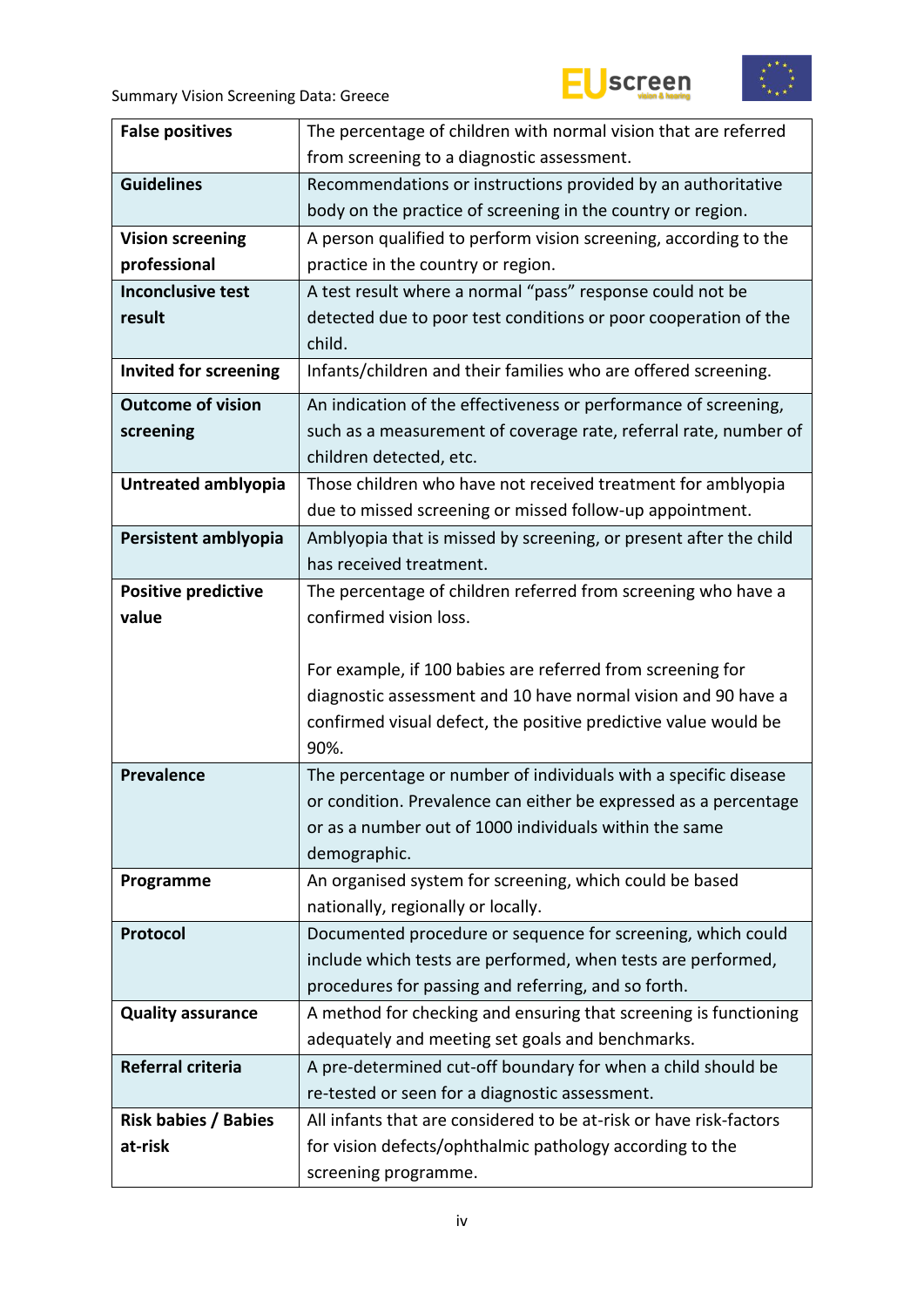





| <b>False positives</b>       | The percentage of children with normal vision that are referred                  |  |  |  |  |
|------------------------------|----------------------------------------------------------------------------------|--|--|--|--|
|                              | from screening to a diagnostic assessment.                                       |  |  |  |  |
| <b>Guidelines</b>            | Recommendations or instructions provided by an authoritative                     |  |  |  |  |
|                              | body on the practice of screening in the country or region.                      |  |  |  |  |
| <b>Vision screening</b>      | A person qualified to perform vision screening, according to the                 |  |  |  |  |
| professional                 | practice in the country or region.                                               |  |  |  |  |
| <b>Inconclusive test</b>     | A test result where a normal "pass" response could not be                        |  |  |  |  |
| result                       | detected due to poor test conditions or poor cooperation of the                  |  |  |  |  |
|                              | child.                                                                           |  |  |  |  |
| <b>Invited for screening</b> | Infants/children and their families who are offered screening.                   |  |  |  |  |
| <b>Outcome of vision</b>     | An indication of the effectiveness or performance of screening,                  |  |  |  |  |
| screening                    | such as a measurement of coverage rate, referral rate, number of                 |  |  |  |  |
|                              | children detected, etc.                                                          |  |  |  |  |
| Untreated amblyopia          | Those children who have not received treatment for amblyopia                     |  |  |  |  |
|                              | due to missed screening or missed follow-up appointment.                         |  |  |  |  |
| Persistent amblyopia         | Amblyopia that is missed by screening, or present after the child                |  |  |  |  |
|                              | has received treatment.                                                          |  |  |  |  |
| <b>Positive predictive</b>   | The percentage of children referred from screening who have a                    |  |  |  |  |
| value                        | confirmed vision loss.                                                           |  |  |  |  |
|                              |                                                                                  |  |  |  |  |
|                              |                                                                                  |  |  |  |  |
|                              | For example, if 100 babies are referred from screening for                       |  |  |  |  |
|                              | diagnostic assessment and 10 have normal vision and 90 have a                    |  |  |  |  |
|                              | confirmed visual defect, the positive predictive value would be                  |  |  |  |  |
|                              | 90%.                                                                             |  |  |  |  |
| <b>Prevalence</b>            | The percentage or number of individuals with a specific disease                  |  |  |  |  |
|                              | or condition. Prevalence can either be expressed as a percentage                 |  |  |  |  |
|                              | or as a number out of 1000 individuals within the same                           |  |  |  |  |
|                              | demographic.                                                                     |  |  |  |  |
| Programme                    | An organised system for screening, which could be based                          |  |  |  |  |
|                              | nationally, regionally or locally.                                               |  |  |  |  |
| Protocol                     | Documented procedure or sequence for screening, which could                      |  |  |  |  |
|                              | include which tests are performed, when tests are performed,                     |  |  |  |  |
|                              | procedures for passing and referring, and so forth.                              |  |  |  |  |
| <b>Quality assurance</b>     | A method for checking and ensuring that screening is functioning                 |  |  |  |  |
|                              | adequately and meeting set goals and benchmarks.                                 |  |  |  |  |
| <b>Referral criteria</b>     | A pre-determined cut-off boundary for when a child should be                     |  |  |  |  |
|                              | re-tested or seen for a diagnostic assessment.                                   |  |  |  |  |
| <b>Risk babies / Babies</b>  | All infants that are considered to be at-risk or have risk-factors               |  |  |  |  |
| at-risk                      | for vision defects/ophthalmic pathology according to the<br>screening programme. |  |  |  |  |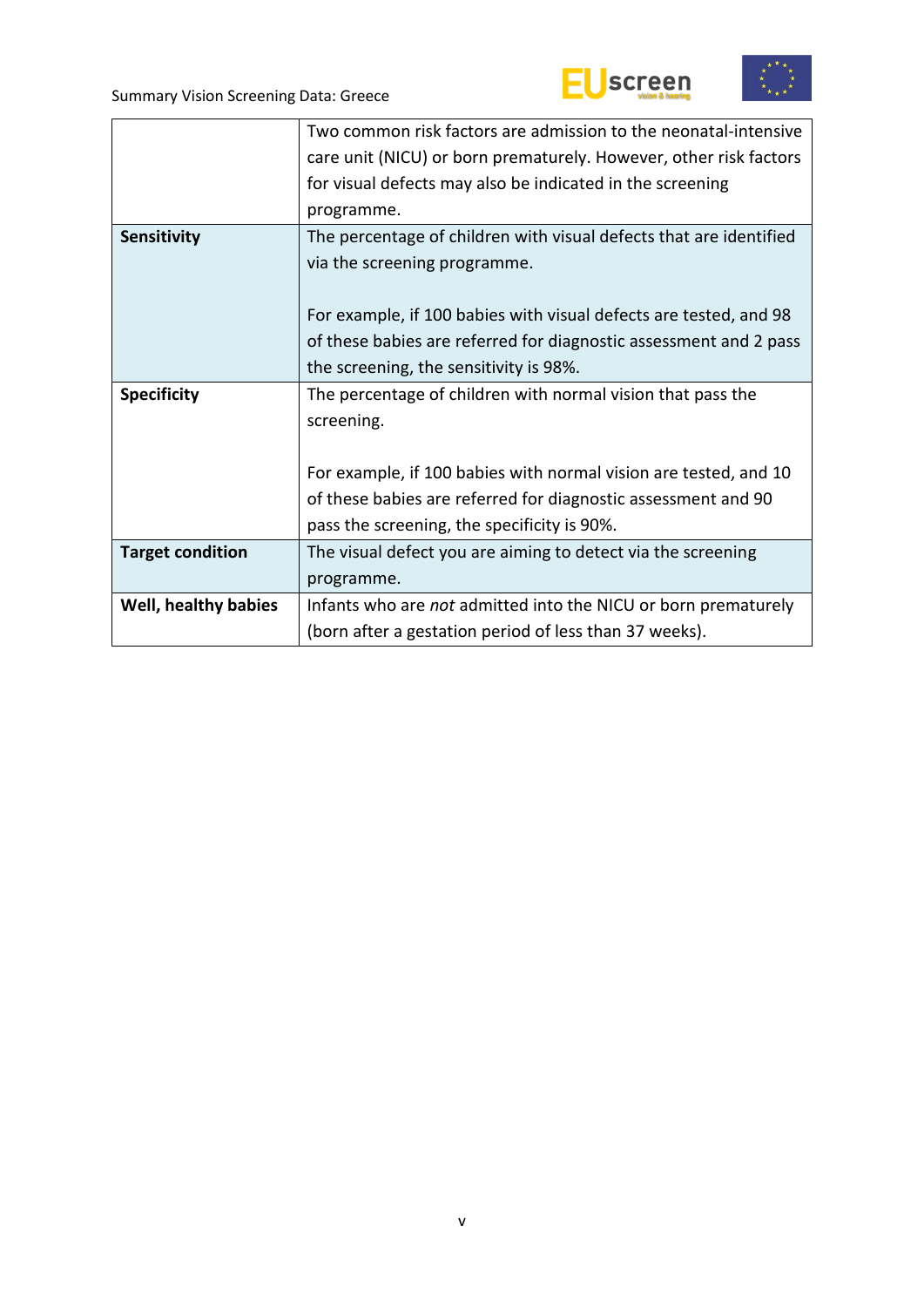



|                         | Two common risk factors are admission to the neonatal-intensive    |  |  |  |  |  |
|-------------------------|--------------------------------------------------------------------|--|--|--|--|--|
|                         | care unit (NICU) or born prematurely. However, other risk factors  |  |  |  |  |  |
|                         | for visual defects may also be indicated in the screening          |  |  |  |  |  |
|                         | programme.                                                         |  |  |  |  |  |
| Sensitivity             | The percentage of children with visual defects that are identified |  |  |  |  |  |
|                         | via the screening programme.                                       |  |  |  |  |  |
|                         |                                                                    |  |  |  |  |  |
|                         | For example, if 100 babies with visual defects are tested, and 98  |  |  |  |  |  |
|                         | of these babies are referred for diagnostic assessment and 2 pass  |  |  |  |  |  |
|                         | the screening, the sensitivity is 98%.                             |  |  |  |  |  |
| <b>Specificity</b>      | The percentage of children with normal vision that pass the        |  |  |  |  |  |
|                         | screening.                                                         |  |  |  |  |  |
|                         |                                                                    |  |  |  |  |  |
|                         | For example, if 100 babies with normal vision are tested, and 10   |  |  |  |  |  |
|                         | of these babies are referred for diagnostic assessment and 90      |  |  |  |  |  |
|                         | pass the screening, the specificity is 90%.                        |  |  |  |  |  |
| <b>Target condition</b> | The visual defect you are aiming to detect via the screening       |  |  |  |  |  |
|                         | programme.                                                         |  |  |  |  |  |
| Well, healthy babies    | Infants who are not admitted into the NICU or born prematurely     |  |  |  |  |  |
|                         | (born after a gestation period of less than 37 weeks).             |  |  |  |  |  |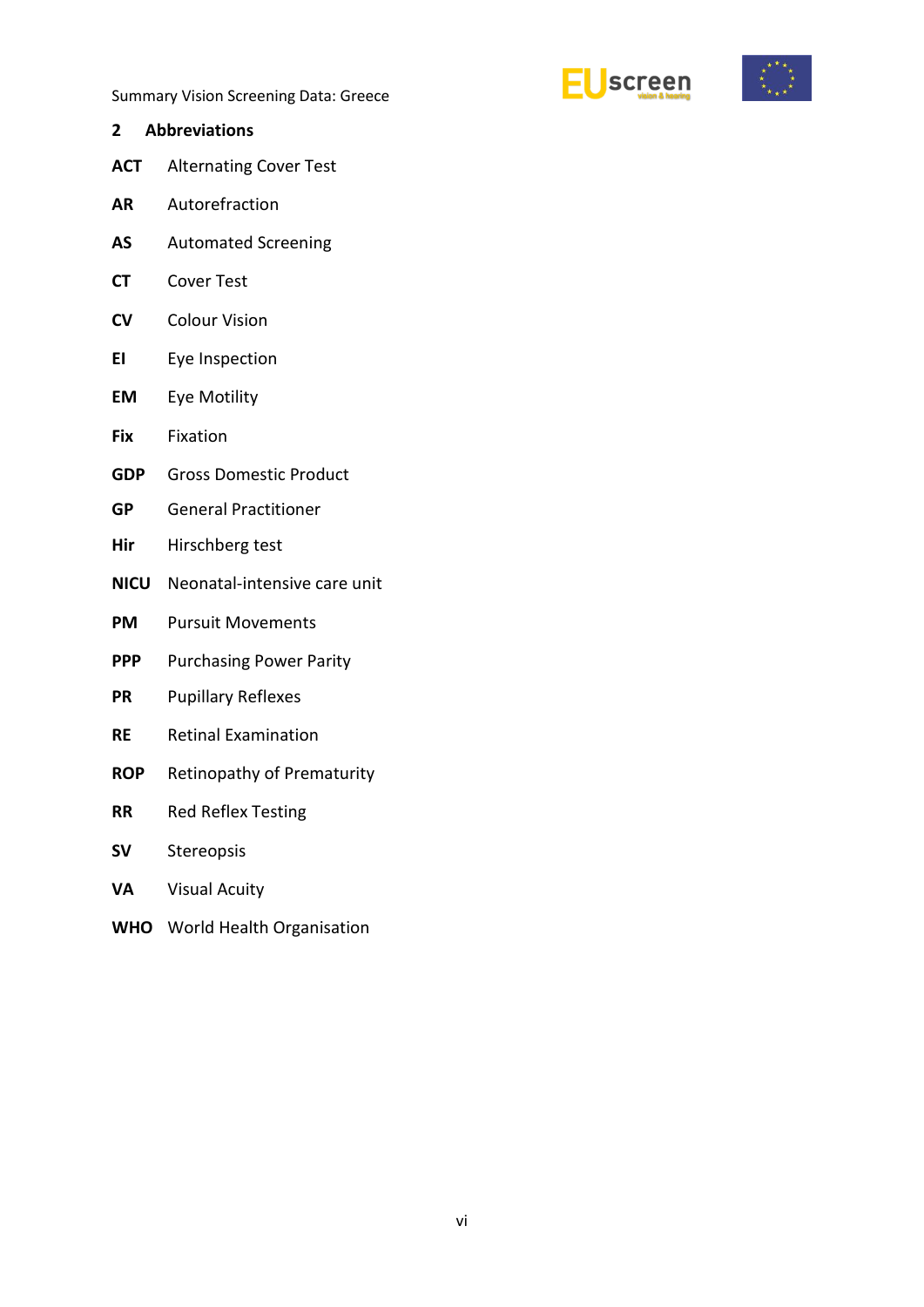



- <span id="page-5-0"></span>**2 Abbreviations ACT** Alternating Cover Test
- **AR** Autorefraction
- **AS** Automated Screening
- **CT** Cover Test
- **CV** Colour Vision
- **EI** Eye Inspection
- **EM** Eye Motility
- **Fix** Fixation
- **GDP** Gross Domestic Product
- **GP** General Practitioner
- **Hir** Hirschberg test
- **NICU** Neonatal-intensive care unit
- **PM** Pursuit Movements
- **PPP** Purchasing Power Parity
- **PR** Pupillary Reflexes
- **RE** Retinal Examination
- **ROP** Retinopathy of Prematurity
- **RR** Red Reflex Testing
- **SV** Stereopsis
- **VA** Visual Acuity
- **WHO** World Health Organisation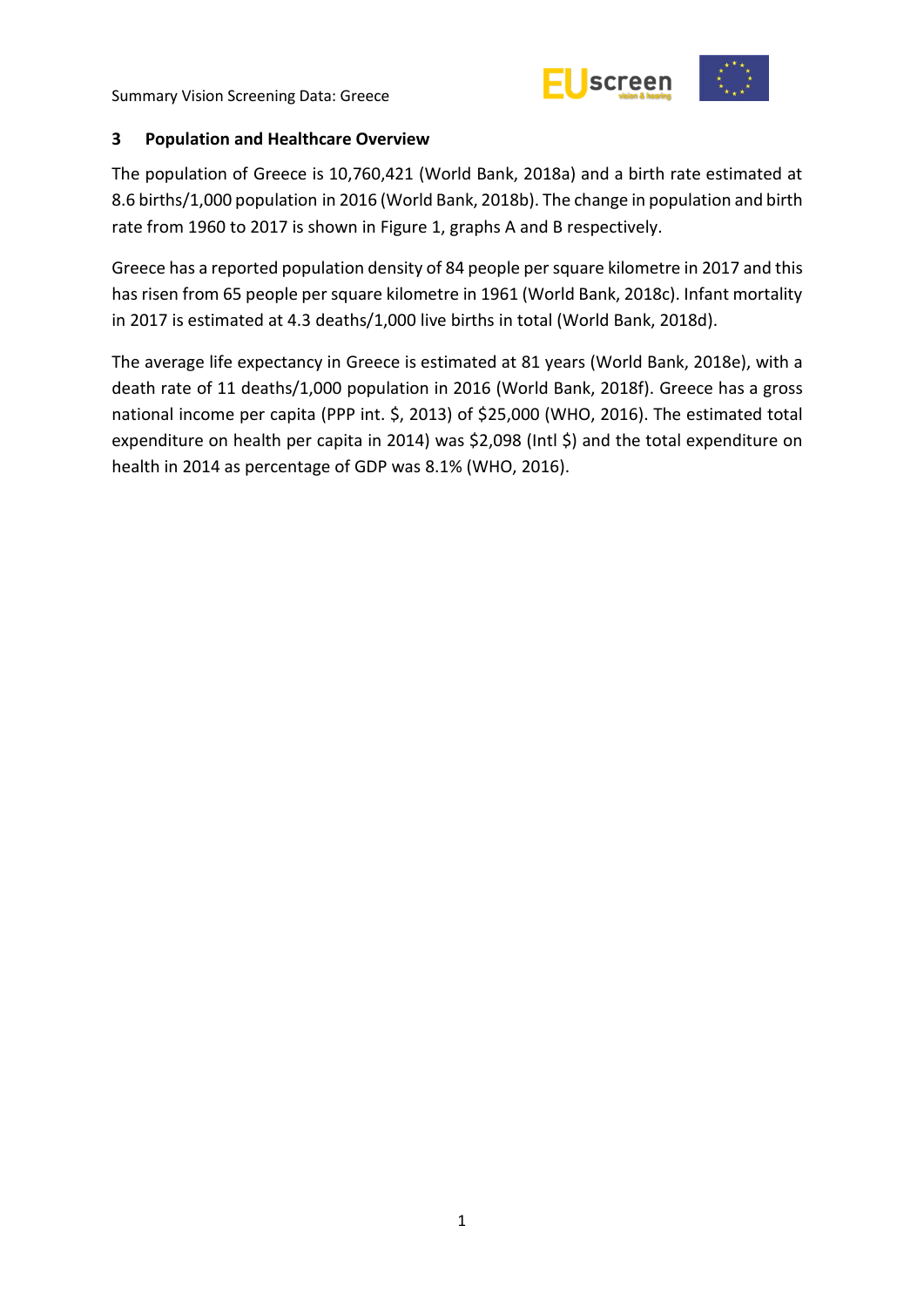

#### <span id="page-6-0"></span>**3 Population and Healthcare Overview**

The population of Greece is 10,760,421 (World Bank, 2018a) and a birth rate estimated at 8.6 births/1,000 population in 2016 (World Bank, 2018b). The change in population and birth rate from 1960 to 2017 is shown in Figure 1, graphs A and B respectively.

Greece has a reported population density of 84 people per square kilometre in 2017 and this has risen from 65 people per square kilometre in 1961 (World Bank, 2018c). Infant mortality in 2017 is estimated at 4.3 deaths/1,000 live births in total (World Bank, 2018d).

The average life expectancy in Greece is estimated at 81 years (World Bank, 2018e), with a death rate of 11 deaths/1,000 population in 2016 (World Bank, 2018f). Greece has a gross national income per capita (PPP int. \$, 2013) of \$25,000 (WHO, 2016). The estimated total expenditure on health per capita in 2014) was \$2,098 (Intl \$) and the total expenditure on health in 2014 as percentage of GDP was 8.1% (WHO, 2016).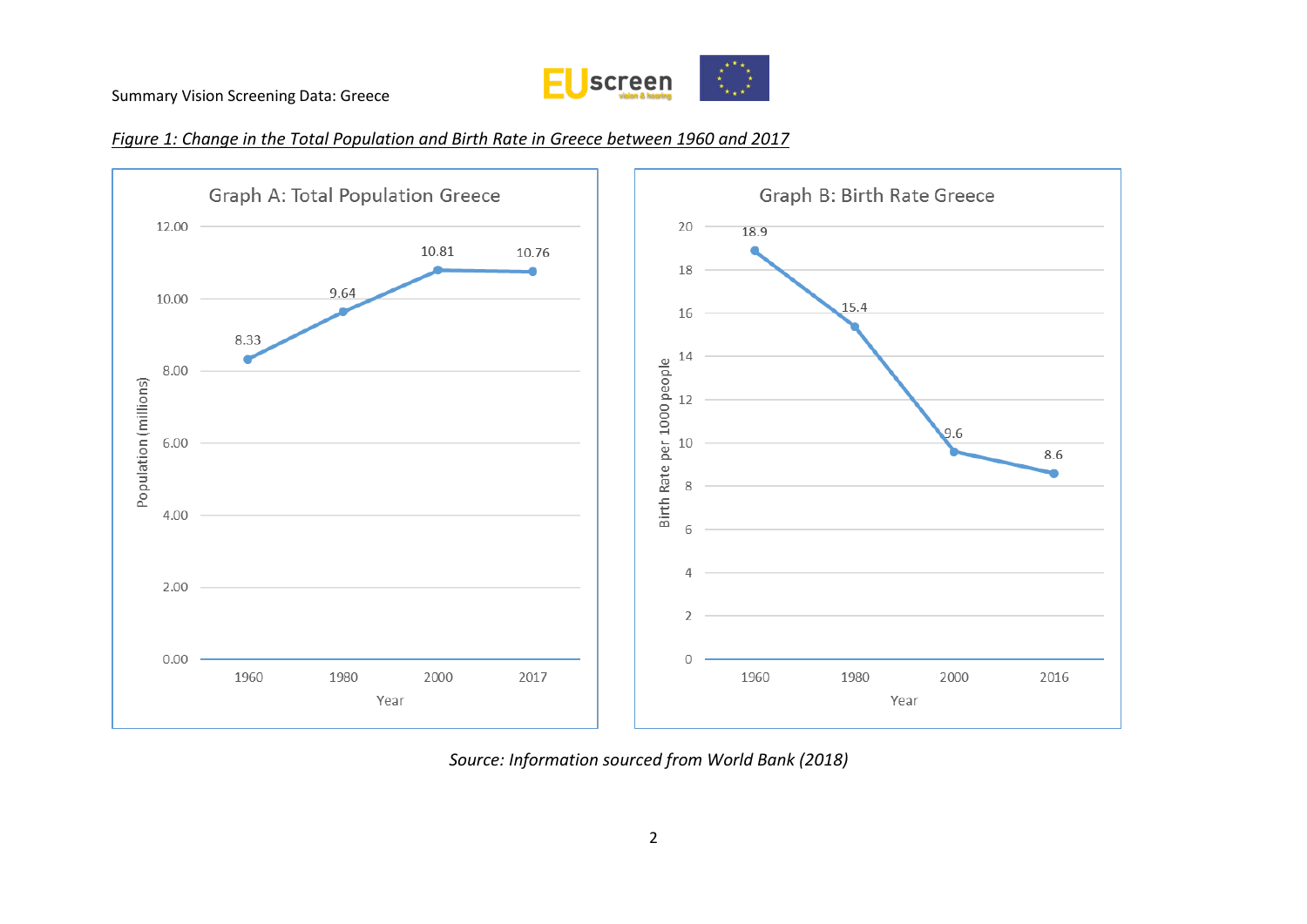

#### *Figure 1: Change in the Total Population and Birth Rate in Greece between 1960 and 2017*



*Source: Information sourced from World Bank (2018)*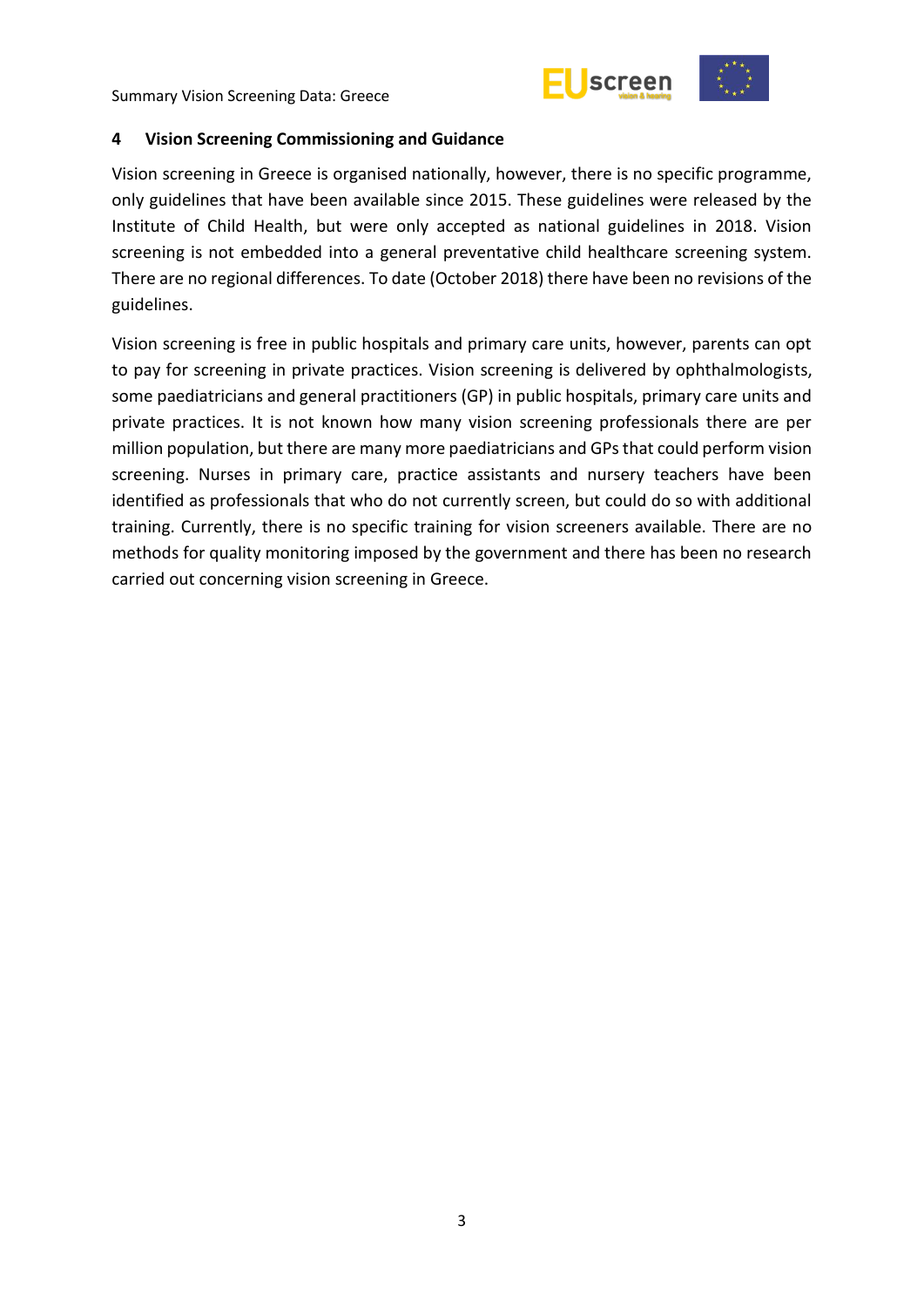

<span id="page-8-0"></span>

Vision screening in Greece is organised nationally, however, there is no specific programme, only guidelines that have been available since 2015. These guidelines were released by the Institute of Child Health, but were only accepted as national guidelines in 2018. Vision screening is not embedded into a general preventative child healthcare screening system. There are no regional differences. To date (October 2018) there have been no revisions of the guidelines.

Vision screening is free in public hospitals and primary care units, however, parents can opt to pay for screening in private practices. Vision screening is delivered by ophthalmologists, some paediatricians and general practitioners (GP) in public hospitals, primary care units and private practices. It is not known how many vision screening professionals there are per million population, but there are many more paediatricians and GPs that could perform vision screening. Nurses in primary care, practice assistants and nursery teachers have been identified as professionals that who do not currently screen, but could do so with additional training. Currently, there is no specific training for vision screeners available. There are no methods for quality monitoring imposed by the government and there has been no research carried out concerning vision screening in Greece.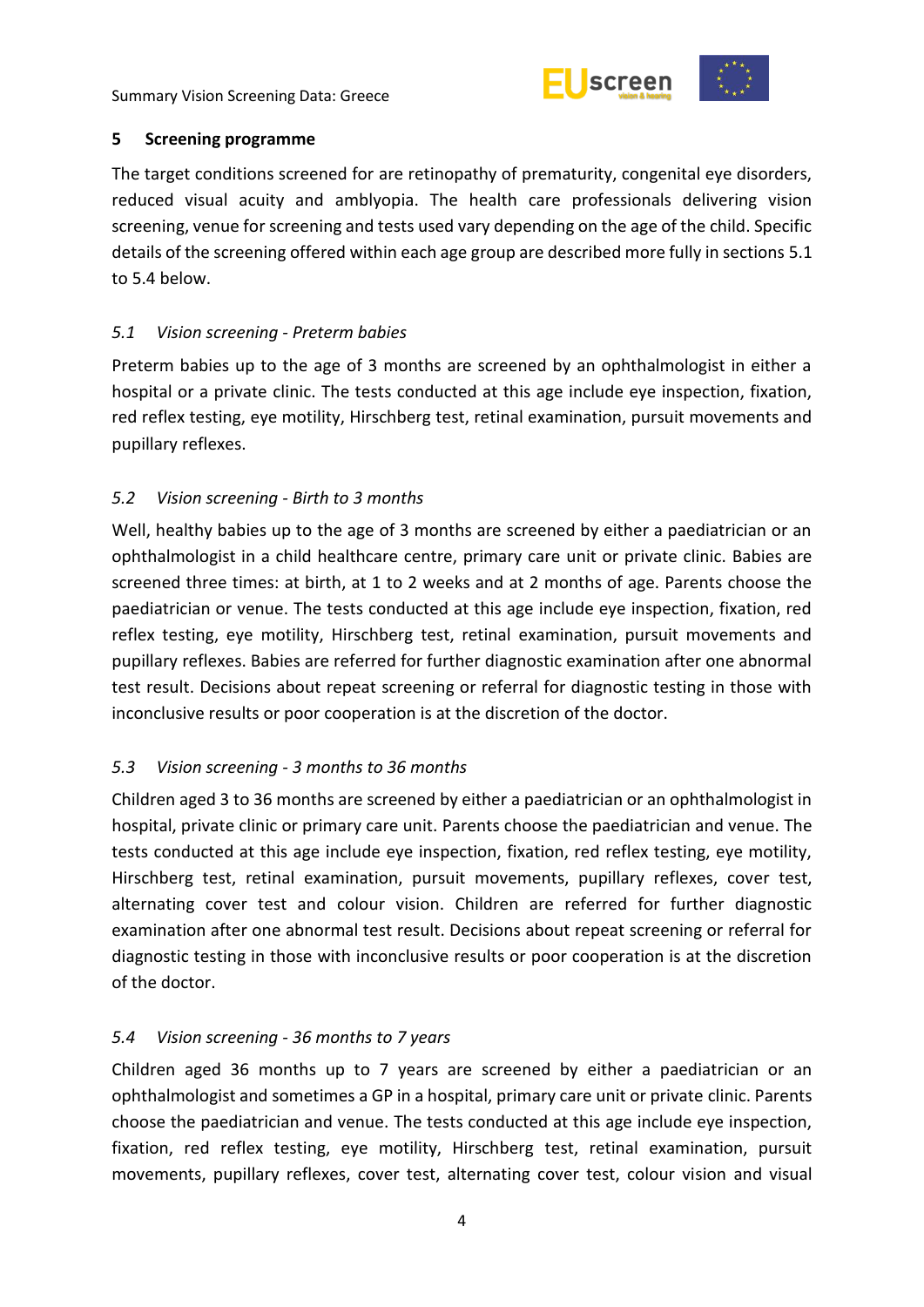

#### <span id="page-9-0"></span>**5 Screening programme**

The target conditions screened for are retinopathy of prematurity, congenital eye disorders, reduced visual acuity and amblyopia. The health care professionals delivering vision screening, venue for screening and tests used vary depending on the age of the child. Specific details of the screening offered within each age group are described more fully in sections 5.1 to 5.4 below.

# <span id="page-9-1"></span>*5.1 Vision screening - Preterm babies*

Preterm babies up to the age of 3 months are screened by an ophthalmologist in either a hospital or a private clinic. The tests conducted at this age include eye inspection, fixation, red reflex testing, eye motility, Hirschberg test, retinal examination, pursuit movements and pupillary reflexes.

## <span id="page-9-2"></span>*5.2 Vision screening - Birth to 3 months*

Well, healthy babies up to the age of 3 months are screened by either a paediatrician or an ophthalmologist in a child healthcare centre, primary care unit or private clinic. Babies are screened three times: at birth, at 1 to 2 weeks and at 2 months of age. Parents choose the paediatrician or venue. The tests conducted at this age include eye inspection, fixation, red reflex testing, eye motility, Hirschberg test, retinal examination, pursuit movements and pupillary reflexes. Babies are referred for further diagnostic examination after one abnormal test result. Decisions about repeat screening or referral for diagnostic testing in those with inconclusive results or poor cooperation is at the discretion of the doctor.

# <span id="page-9-3"></span>*5.3 Vision screening - 3 months to 36 months*

Children aged 3 to 36 months are screened by either a paediatrician or an ophthalmologist in hospital, private clinic or primary care unit. Parents choose the paediatrician and venue. The tests conducted at this age include eye inspection, fixation, red reflex testing, eye motility, Hirschberg test, retinal examination, pursuit movements, pupillary reflexes, cover test, alternating cover test and colour vision. Children are referred for further diagnostic examination after one abnormal test result. Decisions about repeat screening or referral for diagnostic testing in those with inconclusive results or poor cooperation is at the discretion of the doctor.

#### <span id="page-9-4"></span>*5.4 Vision screening - 36 months to 7 years*

Children aged 36 months up to 7 years are screened by either a paediatrician or an ophthalmologist and sometimes a GP in a hospital, primary care unit or private clinic. Parents choose the paediatrician and venue. The tests conducted at this age include eye inspection, fixation, red reflex testing, eye motility, Hirschberg test, retinal examination, pursuit movements, pupillary reflexes, cover test, alternating cover test, colour vision and visual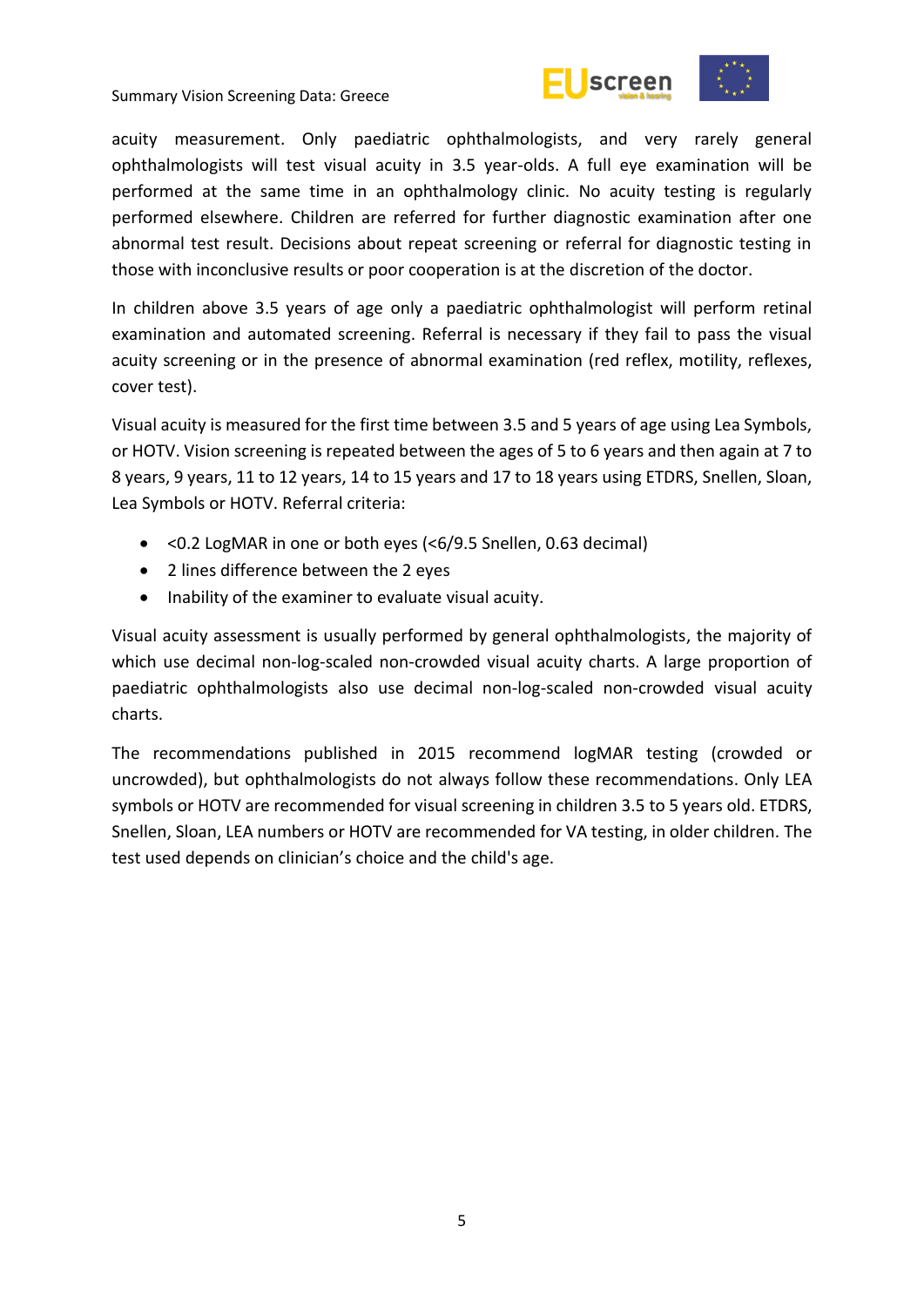



acuity measurement. Only paediatric ophthalmologists, and very rarely general ophthalmologists will test visual acuity in 3.5 year-olds. A full eye examination will be performed at the same time in an ophthalmology clinic. No acuity testing is regularly performed elsewhere. Children are referred for further diagnostic examination after one abnormal test result. Decisions about repeat screening or referral for diagnostic testing in those with inconclusive results or poor cooperation is at the discretion of the doctor.

In children above 3.5 years of age only a paediatric ophthalmologist will perform retinal examination and automated screening. Referral is necessary if they fail to pass the visual acuity screening or in the presence of abnormal examination (red reflex, motility, reflexes, cover test).

Visual acuity is measured for the first time between 3.5 and 5 years of age using Lea Symbols, or HOTV. Vision screening is repeated between the ages of 5 to 6 years and then again at 7 to 8 years, 9 years, 11 to 12 years, 14 to 15 years and 17 to 18 years using ETDRS, Snellen, Sloan, Lea Symbols or HOTV. Referral criteria:

- <0.2 LogMAR in one or both eyes (<6/9.5 Snellen, 0.63 decimal)
- 2 lines difference between the 2 eyes
- Inability of the examiner to evaluate visual acuity.

Visual acuity assessment is usually performed by general ophthalmologists, the majority of which use decimal non-log-scaled non-crowded visual acuity charts. A large proportion of paediatric ophthalmologists also use decimal non-log-scaled non-crowded visual acuity charts.

The recommendations published in 2015 recommend logMAR testing (crowded or uncrowded), but ophthalmologists do not always follow these recommendations. Only LEA symbols or HOTV are recommended for visual screening in children 3.5 to 5 years old. ETDRS, Snellen, Sloan, LEA numbers or HOTV are recommended for VA testing, in older children. The test used depends on clinician's choice and the child's age.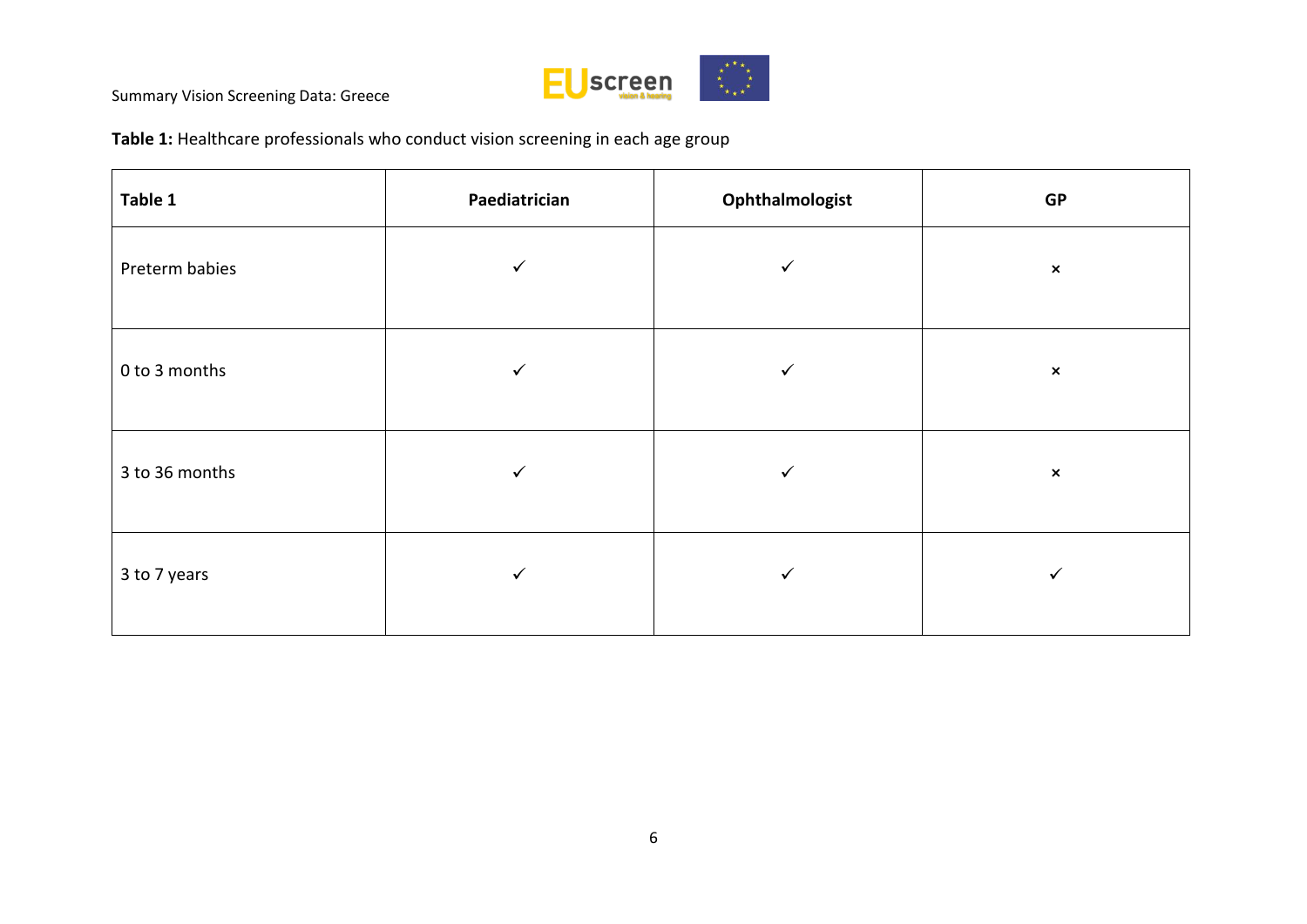

**Table 1:** Healthcare professionals who conduct vision screening in each age group

| Table 1        | Paediatrician | Ophthalmologist | GP             |
|----------------|---------------|-----------------|----------------|
| Preterm babies | ✓             | $\checkmark$    | $\pmb{\times}$ |
| 0 to 3 months  | ✓             | ✓               | $\pmb{\times}$ |
| 3 to 36 months | ✓             |                 | $\pmb{\times}$ |
| 3 to 7 years   | ✓             | $\checkmark$    | ✓              |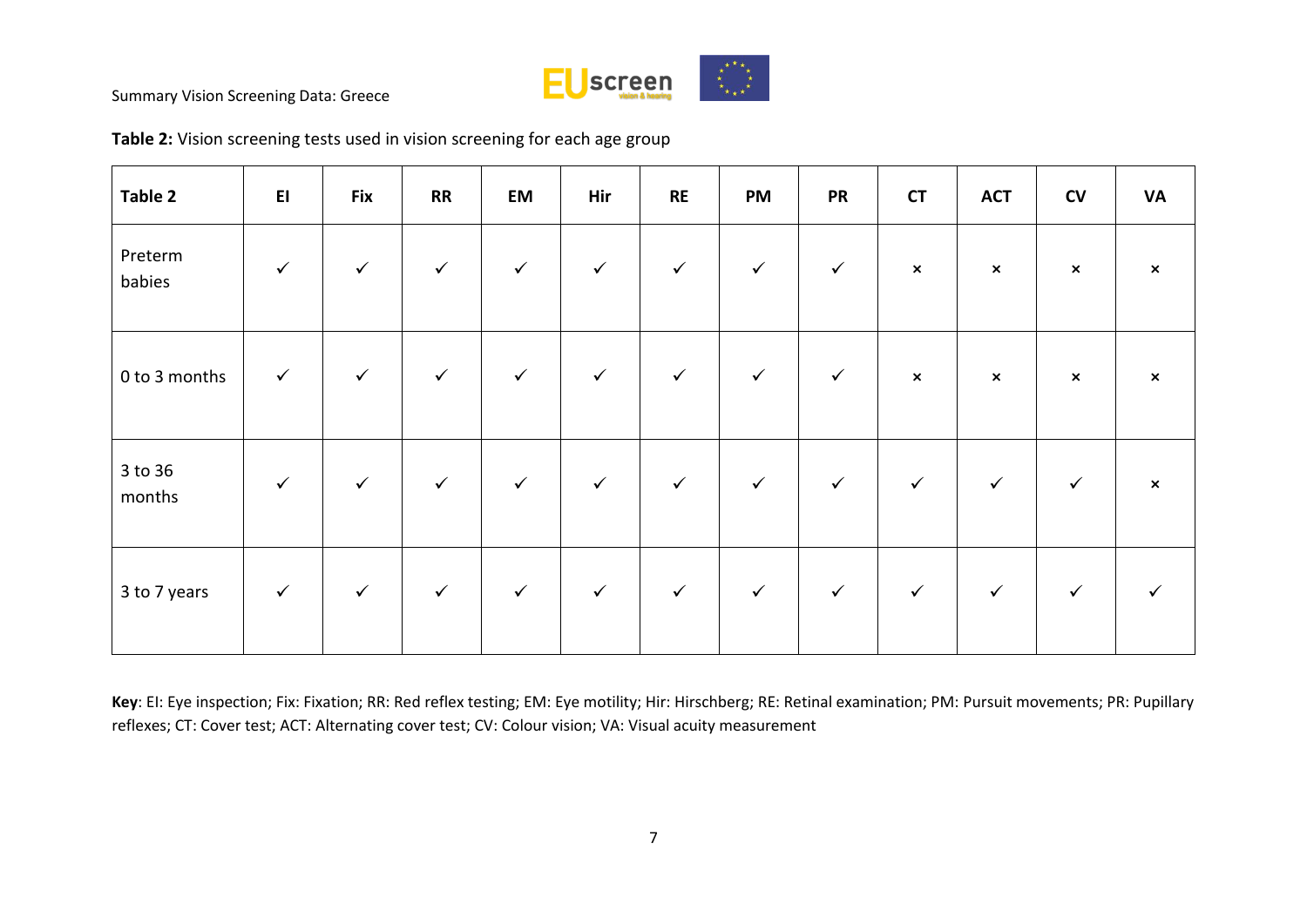

| Table 2           | EI           | <b>Fix</b>   | RR           | EM           | Hir          | <b>RE</b>    | PM           | <b>PR</b>    | <b>CT</b>      | <b>ACT</b>     | CV             | <b>VA</b>                 |
|-------------------|--------------|--------------|--------------|--------------|--------------|--------------|--------------|--------------|----------------|----------------|----------------|---------------------------|
| Preterm<br>babies | $\checkmark$ | $\checkmark$ | $\checkmark$ | $\checkmark$ | $\checkmark$ | $\checkmark$ | $\checkmark$ | $\checkmark$ | $\pmb{\times}$ | $\pmb{\times}$ | $\pmb{\times}$ | $\boldsymbol{\mathsf{x}}$ |
| 0 to 3 months     | $\checkmark$ | $\checkmark$ | $\checkmark$ | $\checkmark$ | $\checkmark$ | $\checkmark$ | $\checkmark$ | $\checkmark$ | $\pmb{\times}$ | $\pmb{\times}$ | $\pmb{\times}$ | $\boldsymbol{\mathsf{x}}$ |
| 3 to 36<br>months | $\checkmark$ | $\checkmark$ | $\checkmark$ | $\checkmark$ | $\checkmark$ | $\checkmark$ | $\checkmark$ | $\checkmark$ | $\checkmark$   | $\checkmark$   | $\checkmark$   | $\pmb{\times}$            |
| 3 to 7 years      | $\checkmark$ | $\checkmark$ | $\checkmark$ | $\checkmark$ | $\checkmark$ | $\checkmark$ | $\checkmark$ | $\checkmark$ | $\checkmark$   | $\checkmark$   | $\checkmark$   |                           |

**Table 2:** Vision screening tests used in vision screening for each age group

**Key**: EI: Eye inspection; Fix: Fixation; RR: Red reflex testing; EM: Eye motility; Hir: Hirschberg; RE: Retinal examination; PM: Pursuit movements; PR: Pupillary reflexes; CT: Cover test; ACT: Alternating cover test; CV: Colour vision; VA: Visual acuity measurement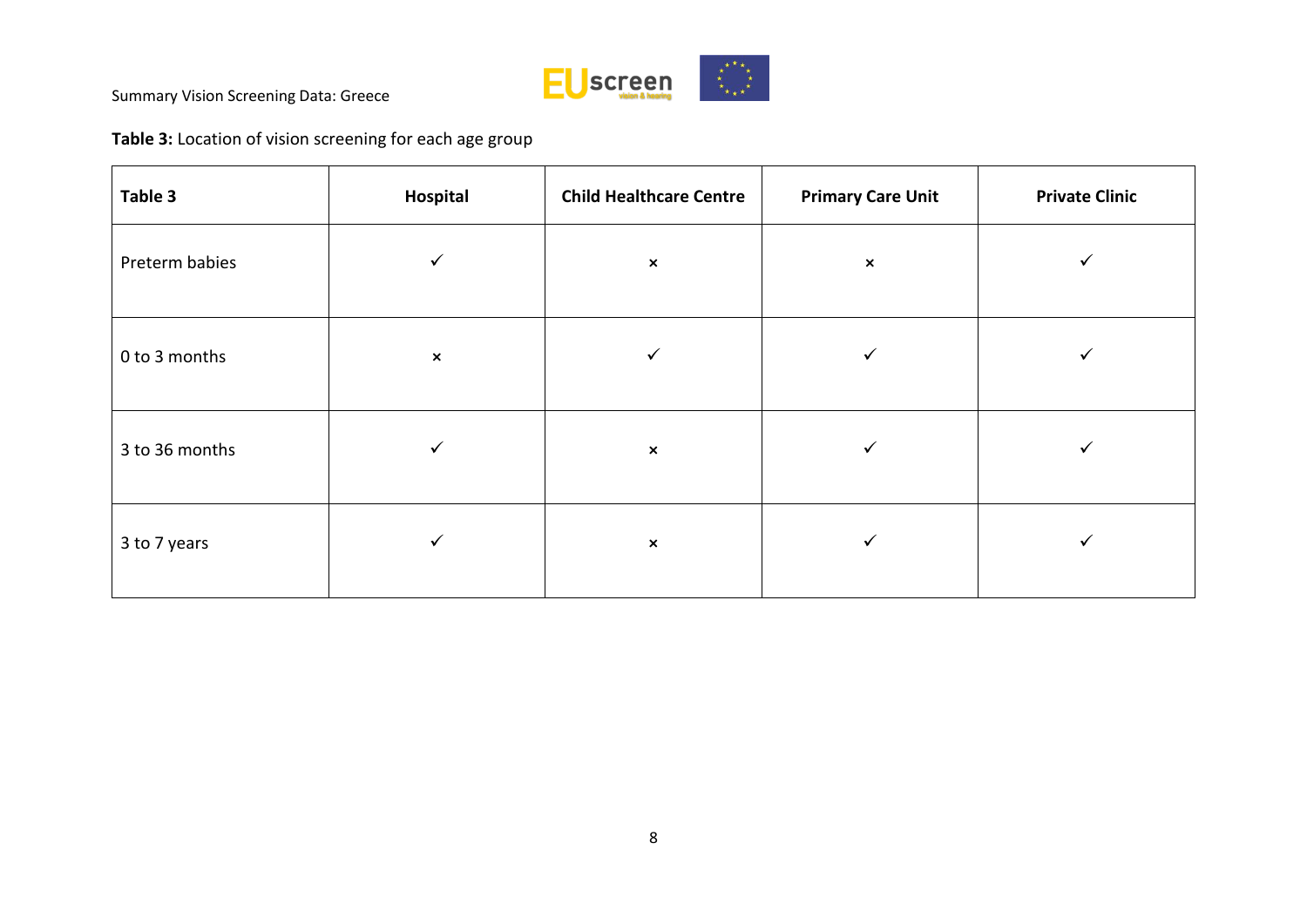

**Table 3:** Location of vision screening for each age group

| Table 3        | Hospital       | <b>Child Healthcare Centre</b> | <b>Primary Care Unit</b> | <b>Private Clinic</b> |
|----------------|----------------|--------------------------------|--------------------------|-----------------------|
| Preterm babies | ✓              | $\pmb{\times}$                 | $\pmb{\times}$           | ✓                     |
| 0 to 3 months  | $\pmb{\times}$ | ✓                              | ✓                        |                       |
| 3 to 36 months | ✓              | $\pmb{\times}$                 | ✓                        |                       |
| 3 to 7 years   | ✓              | $\pmb{\times}$                 | $\checkmark$             | ✔                     |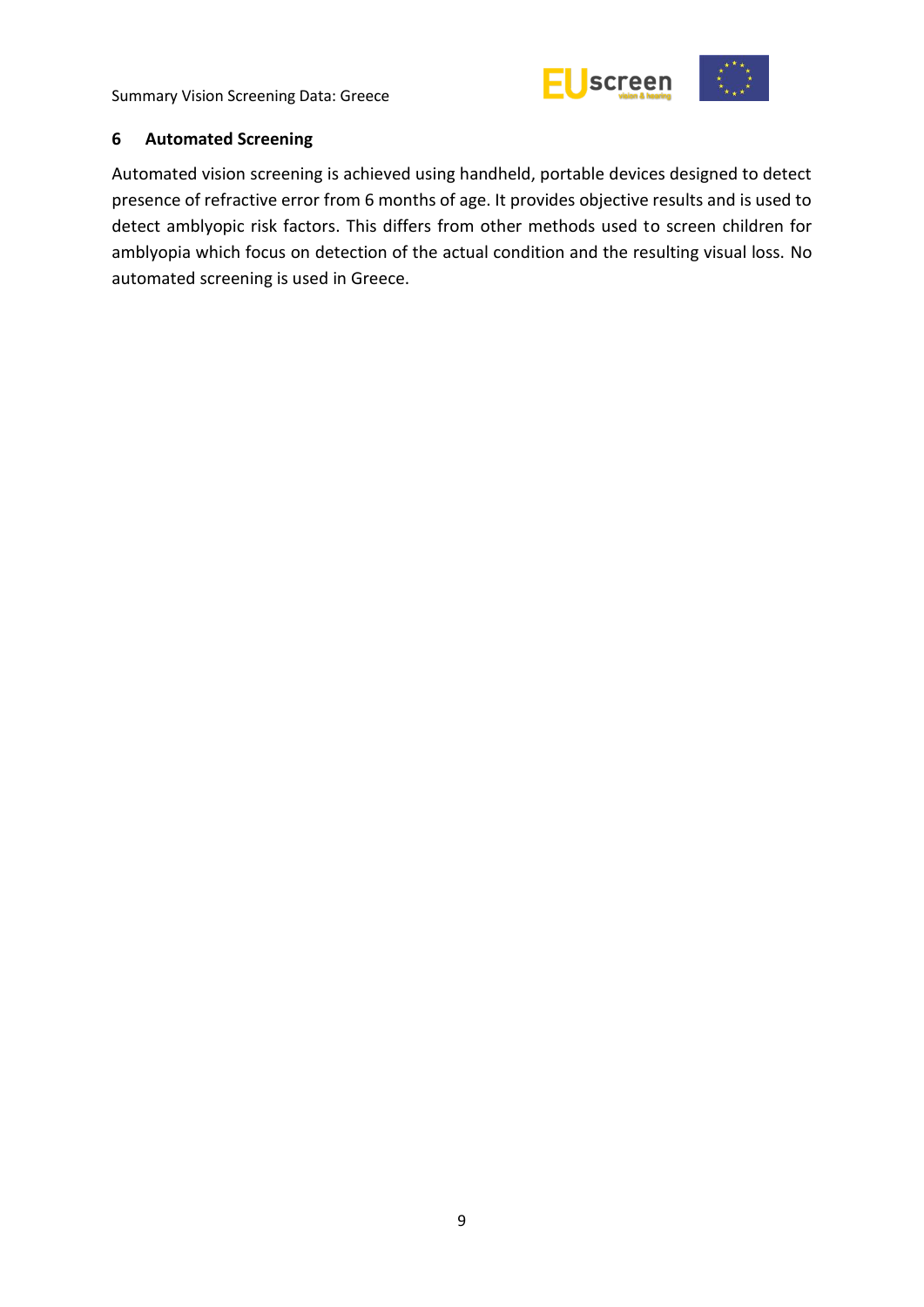

#### <span id="page-14-0"></span>**6 Automated Screening**

Automated vision screening is achieved using handheld, portable devices designed to detect presence of refractive error from 6 months of age. It provides objective results and is used to detect amblyopic risk factors. This differs from other methods used to screen children for amblyopia which focus on detection of the actual condition and the resulting visual loss. No automated screening is used in Greece.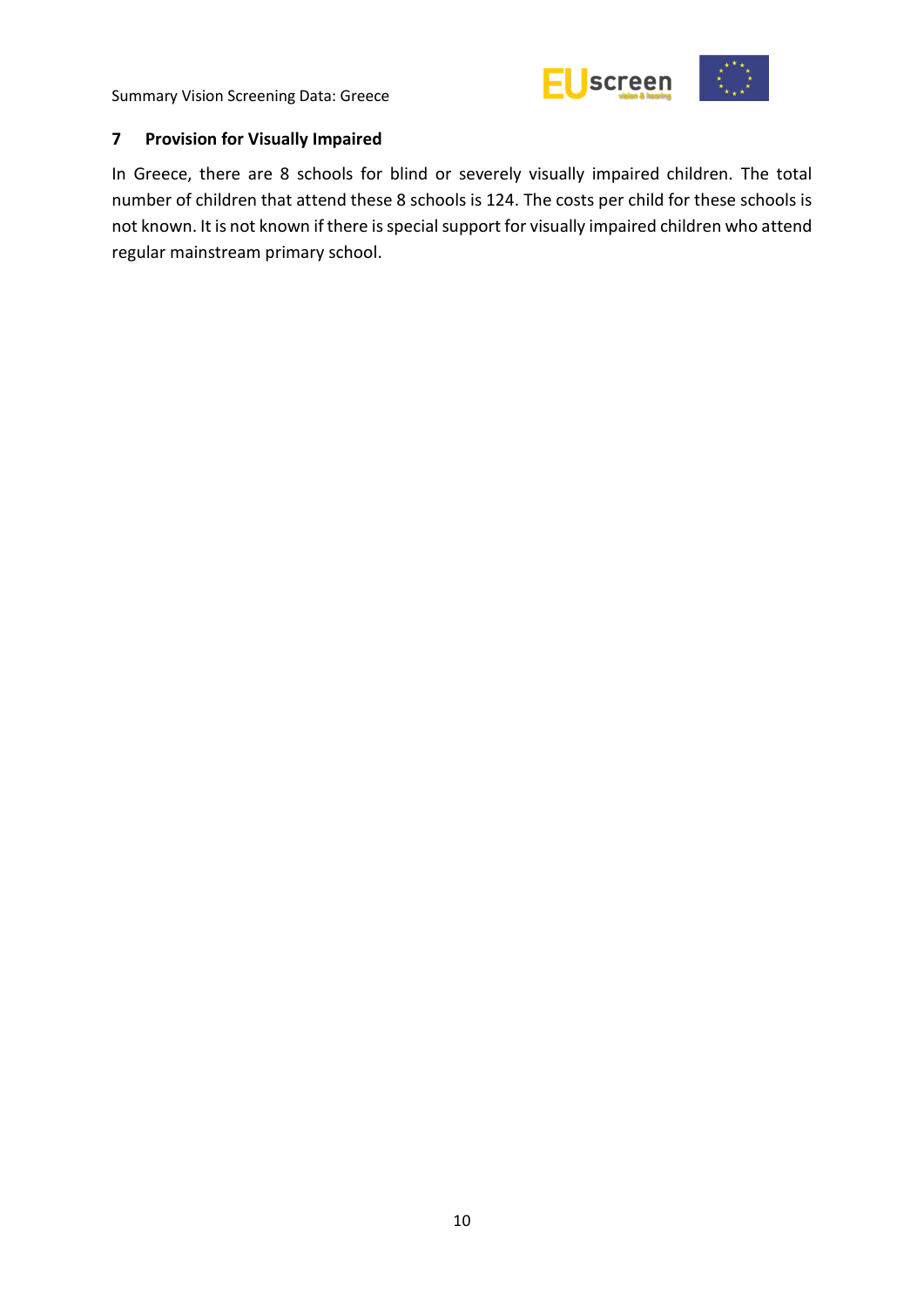

## <span id="page-15-0"></span>**7 Provision for Visually Impaired**

In Greece, there are 8 schools for blind or severely visually impaired children. The total number of children that attend these 8 schools is 124. The costs per child for these schools is not known. It is not known if there is special support for visually impaired children who attend regular mainstream primary school.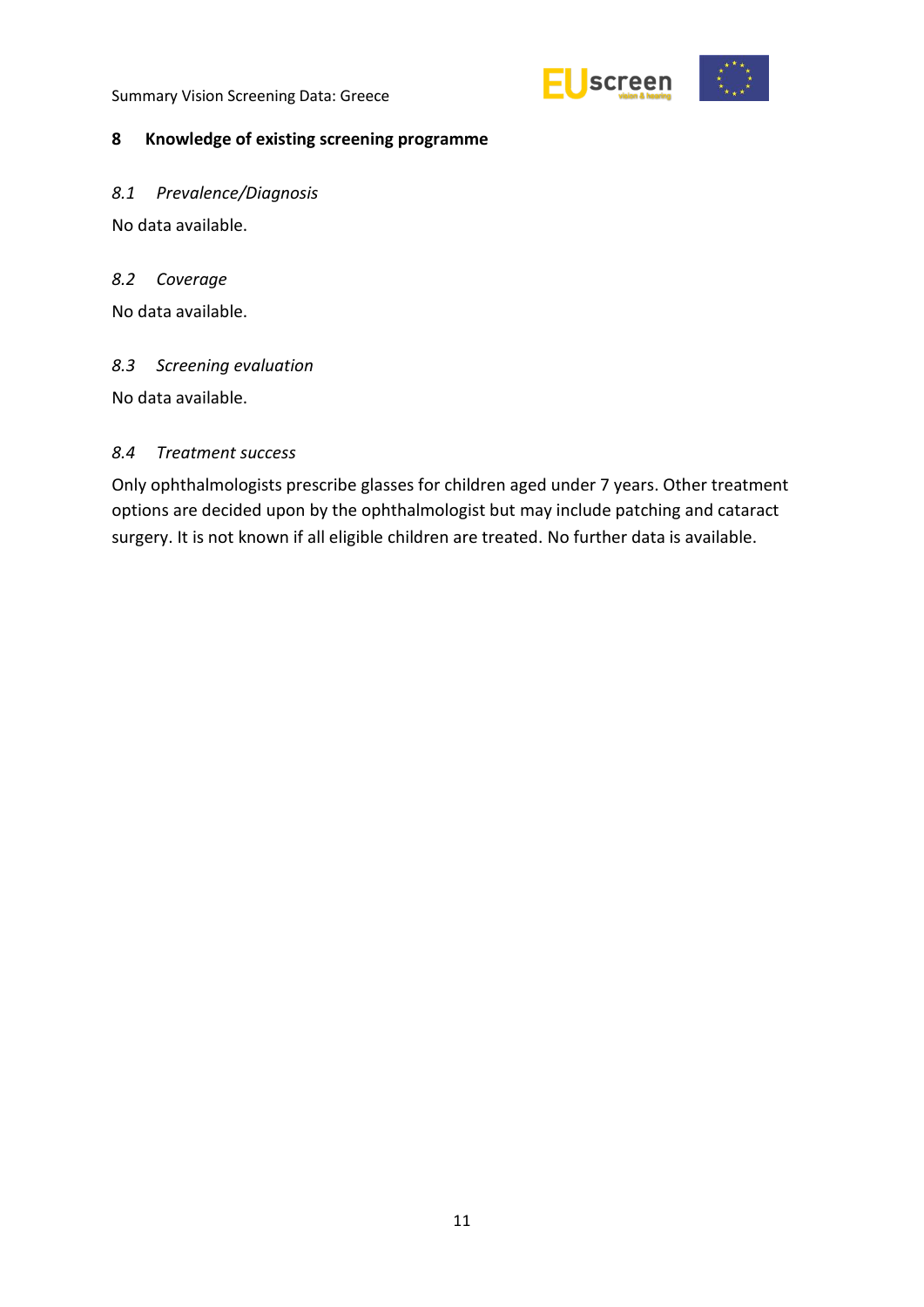

#### <span id="page-16-0"></span>**8 Knowledge of existing screening programme**

<span id="page-16-1"></span>*8.1 Prevalence/Diagnosis* 

No data available.

#### <span id="page-16-2"></span>*8.2 Coverage*

No data available.

#### <span id="page-16-3"></span>*8.3 Screening evaluation*

No data available.

#### *8.4 Treatment success*

Only ophthalmologists prescribe glasses for children aged under 7 years. Other treatment options are decided upon by the ophthalmologist but may include patching and cataract surgery. It is not known if all eligible children are treated. No further data is available.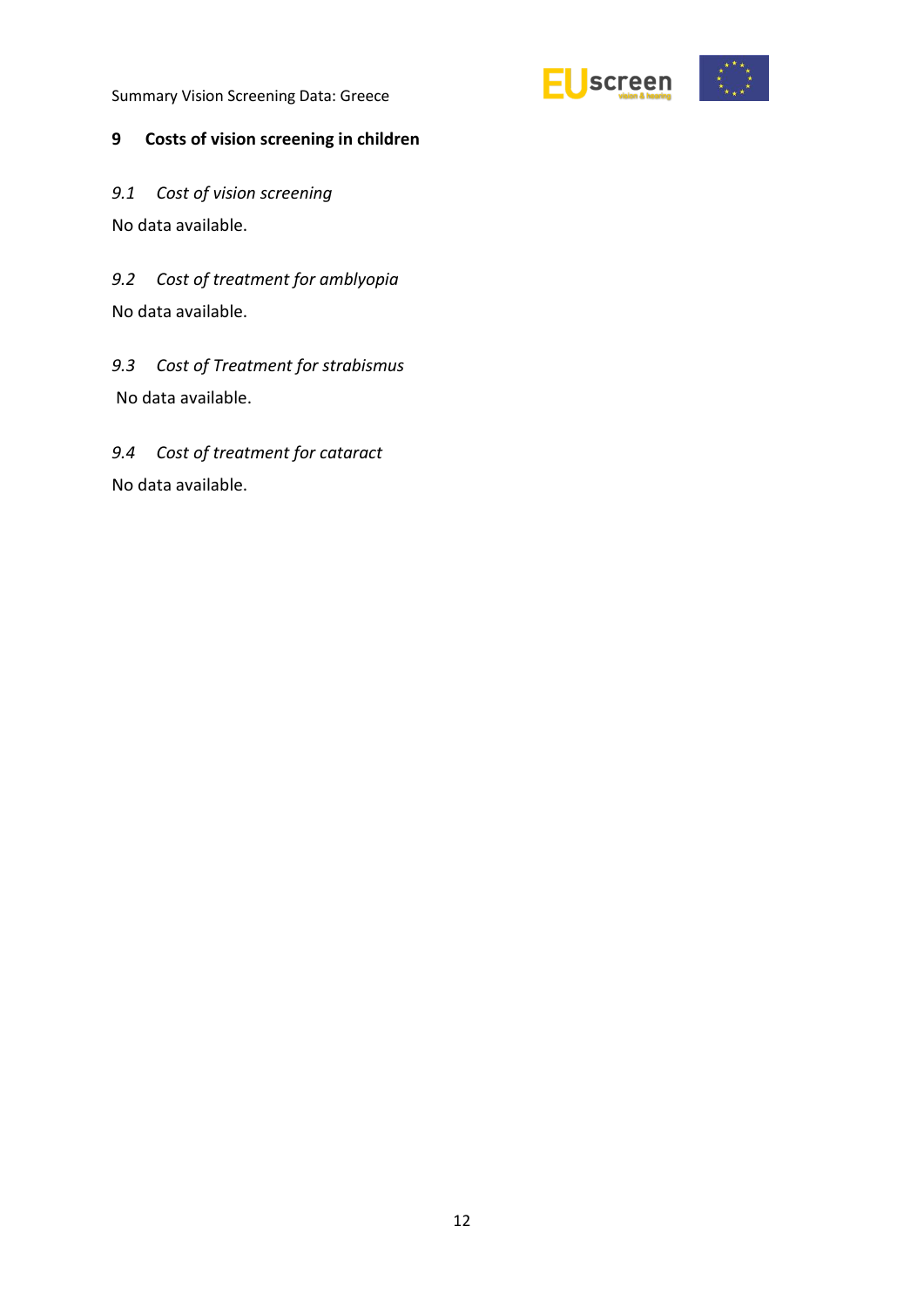

## <span id="page-17-0"></span>**9 Costs of vision screening in children**

<span id="page-17-1"></span>*9.1 Cost of vision screening*  No data available.

<span id="page-17-2"></span>*9.2 Cost of treatment for amblyopia* No data available.

<span id="page-17-3"></span>*9.3 Cost of Treatment for strabismus*  No data available.

<span id="page-17-4"></span>*9.4 Cost of treatment for cataract* No data available.